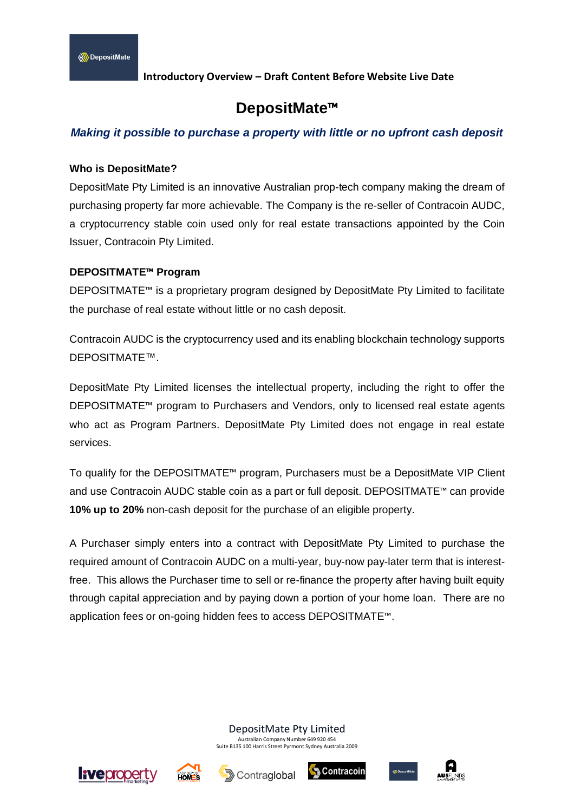# **DepositMate**™

# *Making it possible to purchase a property with little or no upfront cash deposit*

## **Who is DepositMate?**

DepositMate Pty Limited is an innovative Australian prop-tech company making the dream of purchasing property far more achievable. The Company is the re-seller of Contracoin AUDC, a cryptocurrency stable coin used only for real estate transactions appointed by the Coin Issuer, Contracoin Pty Limited.

## **DEPOSITMATE**™ **Program**

DEPOSITMATE™ is a proprietary program designed by DepositMate Pty Limited to facilitate the purchase of real estate without little or no cash deposit.

Contracoin AUDC is the cryptocurrency used and its enabling blockchain technology supports DEPOSITMATE™.

DepositMate Pty Limited licenses the intellectual property, including the right to offer the DEPOSITMATE™ program to Purchasers and Vendors, only to licensed real estate agents who act as Program Partners. DepositMate Pty Limited does not engage in real estate services.

To qualify for the DEPOSITMATE™ program, Purchasers must be a DepositMate VIP Client and use Contracoin AUDC stable coin as a part or full deposit. DEPOSITMATE™ can provide **10% up to 20%** non-cash deposit for the purchase of an eligible property.

A Purchaser simply enters into a contract with DepositMate Pty Limited to purchase the required amount of Contracoin AUDC on a multi-year, buy-now pay-later term that is interestfree. This allows the Purchaser time to sell or re-finance the property after having built equity through capital appreciation and by paying down a portion of your home loan. There are no application fees or on-going hidden fees to access DEPOSITMATE™.

DepositMate Pty Limited

Australian Company Number 649 920 454 Suite B135 100 Harris Street Pyrmont Sydney Australia 2009









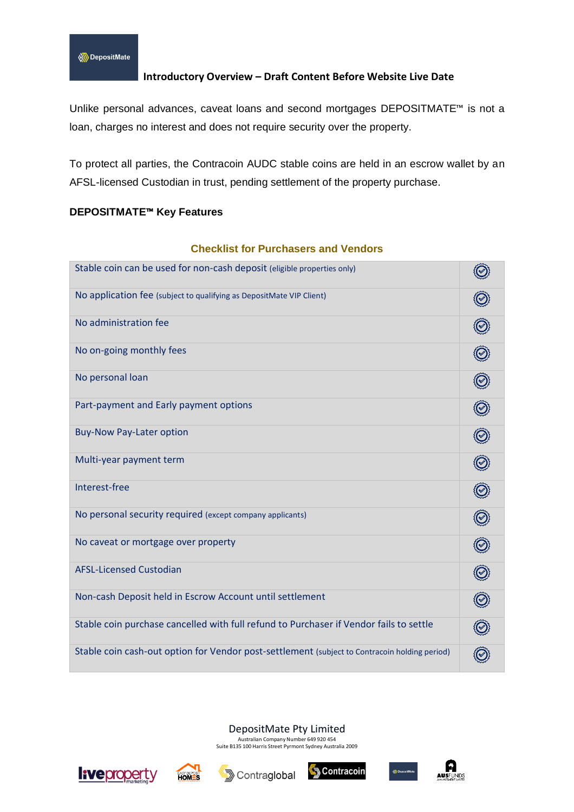Unlike personal advances, caveat loans and second mortgages DEPOSITMATE<sup>™</sup> is not a loan, charges no interest and does not require security over the property.

To protect all parties, the Contracoin AUDC stable coins are held in an escrow wallet by an AFSL-licensed Custodian in trust, pending settlement of the property purchase.

## **DEPOSITMATE**™ **Key Features**

# **Checklist for Purchasers and Vendors**

| Stable coin can be used for non-cash deposit (eligible properties only)                       |  |
|-----------------------------------------------------------------------------------------------|--|
| No application fee (subject to qualifying as DepositMate VIP Client)                          |  |
| No administration fee                                                                         |  |
| No on-going monthly fees                                                                      |  |
| No personal loan                                                                              |  |
| Part-payment and Early payment options                                                        |  |
| <b>Buy-Now Pay-Later option</b>                                                               |  |
| Multi-year payment term                                                                       |  |
| Interest-free                                                                                 |  |
| No personal security required (except company applicants)                                     |  |
| No caveat or mortgage over property                                                           |  |
| <b>AFSL-Licensed Custodian</b>                                                                |  |
| Non-cash Deposit held in Escrow Account until settlement                                      |  |
| Stable coin purchase cancelled with full refund to Purchaser if Vendor fails to settle        |  |
| Stable coin cash-out option for Vendor post-settlement (subject to Contracoin holding period) |  |

#### DepositMate Pty Limited

Australian Company Number 649 920 454 Suite B135 100 Harris Street Pyrmont Sydney Australia 2009









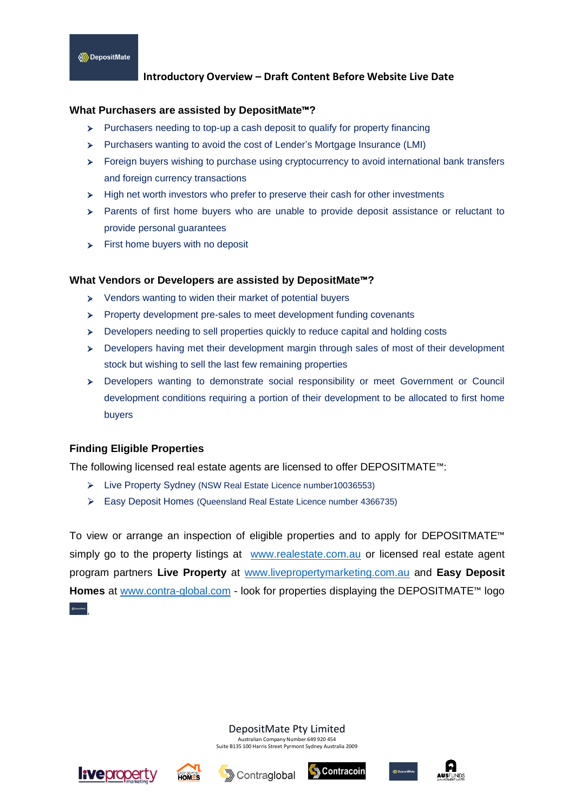#### **What Purchasers are assisted by DepositMate**™**?**

- Purchasers needing to top-up a cash deposit to qualify for property financing  $\blacktriangleright$
- Purchasers wanting to avoid the cost of Lender's Mortgage Insurance (LMI)
- $\triangleright$  Foreign buyers wishing to purchase using cryptocurrency to avoid international bank transfers and foreign currency transactions
- $\triangleright$  High net worth investors who prefer to preserve their cash for other investments
- Parents of first home buyers who are unable to provide deposit assistance or reluctant to provide personal guarantees
- $\triangleright$  First home buyers with no deposit

#### **What Vendors or Developers are assisted by DepositMate**™**?**

- Vendors wanting to widen their market of potential buyers
- $\triangleright$  Property development pre-sales to meet development funding covenants
- Developers needing to sell properties quickly to reduce capital and holding costs
- Developers having met their development margin through sales of most of their development stock but wishing to sell the last few remaining properties
- Developers wanting to demonstrate social responsibility or meet Government or Council development conditions requiring a portion of their development to be allocated to first home buyers

#### **Finding Eligible Properties**

The following licensed real estate agents are licensed to offer DEPOSITMATE™:

- Live Property Sydney (NSW Real Estate Licence number10036553)
- Easy Deposit Homes (Queensland Real Estate Licence number 4366735)

To view or arrange an inspection of eligible properties and to apply for DEPOSITMATE™ simply go to the property listings at [www.realestate.com.au](http://www.realestate.com.au/) or licensed real estate agent program partners **Live Property** at [www.livepropertymarketing.com.au](http://www.livepropertymarketing.com.au/) and **Easy Deposit Homes** at [www.contra-global.com](http://www.contra-global.com/) - look for properties displaying the DEPOSITMATE™ logo

DepositMate Pty Limited

Australian Company Number 649 920 454 Suite B135 100 Harris Street Pyrmont Sydney Australia 2009



.